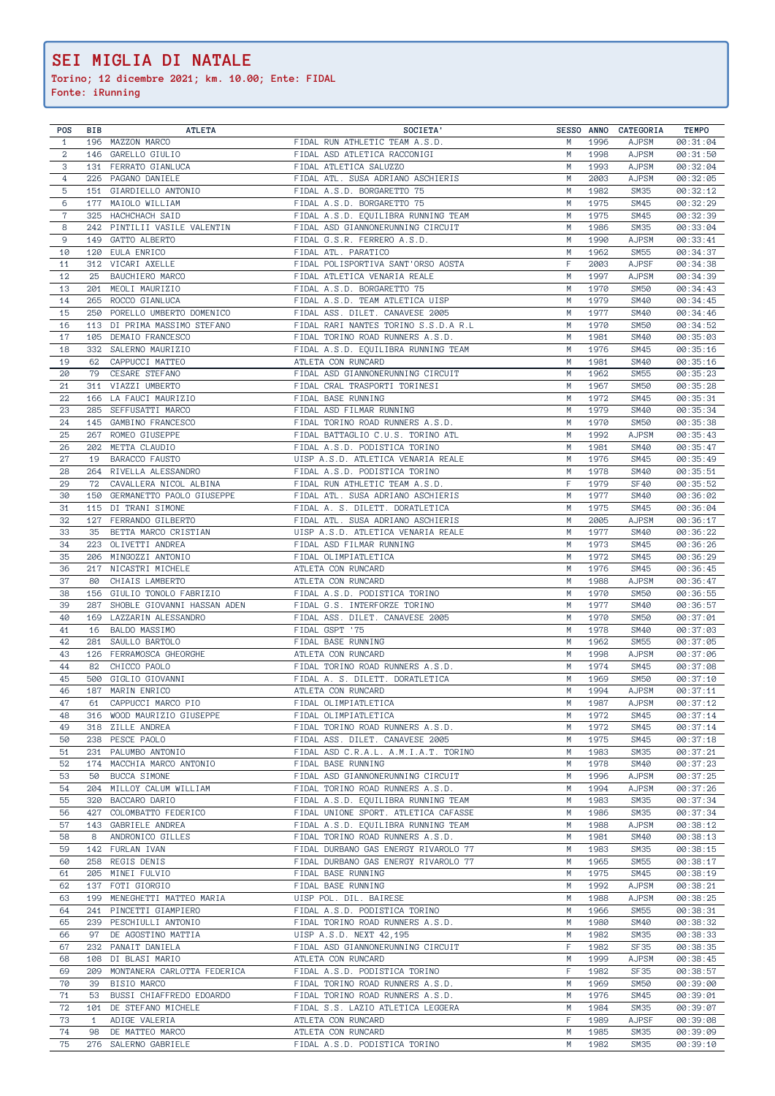**Torino; 12 dicembre 2021; km. 10.00; Ente: FIDAL**

| POS            | BIB          | <b>ATLETA</b>                              | SOCIETA'                                                              |         |              | SESSO ANNO CATEGORIA         | <b>TEMPO</b>         |
|----------------|--------------|--------------------------------------------|-----------------------------------------------------------------------|---------|--------------|------------------------------|----------------------|
| $\mathbf{1}$   |              | 196 MAZZON MARCO                           | FIDAL RUN ATHLETIC TEAM A.S.D.                                        | M       | 1996         | <b>AJPSM</b>                 | 00:31:04             |
| $\overline{a}$ |              | 146 GARELLO GIULIO                         | FIDAL ASD ATLETICA RACCONIGI                                          | М       | 1998         | <b>AJPSM</b>                 | 00:31:50             |
| 3              |              | 131 FERRATO GIANLUCA                       | FIDAL ATLETICA SALUZZO                                                | M       | 1993         | <b>AJPSM</b>                 | 00:32:04             |
| 4              |              | 226 PAGANO DANIELE                         | FIDAL ATL. SUSA ADRIANO ASCHIERIS                                     | М       | 2003         | <b>AJPSM</b>                 | 00:32:05<br>00:32:12 |
| 5<br>6         | 177          | 151 GIARDIELLO ANTONIO<br>MAIOLO WILLIAM   | FIDAL A.S.D. BORGARETTO 75<br>FIDAL A.S.D. BORGARETTO 75              | М<br>M  | 1982<br>1975 | SM35<br><b>SM45</b>          | 00:32:29             |
| 7              | 325          | HACHCHACH SAID                             | FIDAL A.S.D. EQUILIBRA RUNNING TEAM                                   | M       | 1975         | <b>SM45</b>                  | 00:32:39             |
| 8              | 242          | PINTILII VASILE VALENTIN                   | FIDAL ASD GIANNONERUNNING CIRCUIT                                     | M       | 1986         | SM35                         | 00:33:04             |
| 9              | 149          | GATTO ALBERTO                              | FIDAL G.S.R. FERRERO A.S.D.                                           | М       | 1990         | <b>AJPSM</b>                 | 00:33:41             |
| 10             | 120          | EULA ENRICO                                | FIDAL ATL. PARATICO                                                   | M       | 1962         | <b>SM55</b>                  | 00:34:37             |
| 11             | 312          | VICARI AXELLE                              | FIDAL POLISPORTIVA SANT'ORSO AOSTA                                    | F       | 2003         | <b>AJPSF</b>                 | 00:34:38             |
| 12             | 25           | BAUCHIERO MARCO                            | FIDAL ATLETICA VENARIA REALE                                          | M       | 1997         | <b>AJPSM</b>                 | 00:34:39             |
| 13             | 201          | MEOLI MAURIZIO                             | FIDAL A.S.D. BORGARETTO 75                                            | М       | 1970         | <b>SM50</b>                  | 00:34:43             |
| 14<br>15       | 265<br>250   | ROCCO GIANLUCA<br>PORELLO UMBERTO DOMENICO | FIDAL A.S.D. TEAM ATLETICA UISP<br>FIDAL ASS. DILET. CANAVESE 2005    | М<br>M  | 1979<br>1977 | <b>SM40</b><br><b>SM40</b>   | 00:34:45<br>00:34:46 |
| 16             | 113          | DI PRIMA MASSIMO STEFANO                   | FIDAL RARI NANTES TORINO S.S.D.A R.L                                  | M       | 1970         | <b>SM50</b>                  | 00:34:52             |
| 17             | 105          | DEMAIO FRANCESCO                           | FIDAL TORINO ROAD RUNNERS A.S.D.                                      | M       | 1981         | <b>SM40</b>                  | 00:35:03             |
| 18             | 332          | SALERNO MAURIZIO                           | FIDAL A.S.D. EQUILIBRA RUNNING TEAM                                   | M       | 1976         | SM45                         | 00:35:16             |
| 19             | 62           | CAPPUCCI MATTEO                            | ATLETA CON RUNCARD                                                    | М       | 1981         | <b>SM40</b>                  | 00:35:16             |
| 20             | 79           | CESARE STEFANO                             | FIDAL ASD GIANNONERUNNING CIRCUIT                                     | M       | 1962         | <b>SM55</b>                  | 00:35:23             |
| 21             |              | 311 VIAZZI UMBERTO                         | FIDAL CRAL TRASPORTI TORINESI                                         | М       | 1967         | <b>SM50</b>                  | 00:35:28             |
| 22             |              | 166 LA FAUCI MAURIZIO                      | FIDAL BASE RUNNING                                                    | M       | 1972         | <b>SM45</b>                  | 00:35:31             |
| 23             | 285          | SEFFUSATTI MARCO                           | FIDAL ASD FILMAR RUNNING                                              | M       | 1979         | <b>SM40</b>                  | 00:35:34             |
| 24<br>25       | 145<br>267   | GAMBINO FRANCESCO                          | FIDAL TORINO ROAD RUNNERS A.S.D.<br>FIDAL BATTAGLIO C.U.S. TORINO ATL | M<br>M  | 1970         | <b>SM50</b>                  | 00:35:38             |
| 26             | 202          | ROMEO GIUSEPPE<br>METTA CLAUDIO            | FIDAL A.S.D. PODISTICA TORINO                                         | М       | 1992<br>1981 | <b>AJPSM</b><br><b>SM40</b>  | 00:35:43<br>00:35:47 |
| 27             | 19           | BARACCO FAUSTO                             | UISP A.S.D. ATLETICA VENARIA REALE                                    | M       | 1976         | <b>SM45</b>                  | 00:35:49             |
| 28             |              | 264 RIVELLA ALESSANDRO                     | FIDAL A.S.D. PODISTICA TORINO                                         | M       | 1978         | <b>SM40</b>                  | 00:35:51             |
| 29             | 72           | CAVALLERA NICOL ALBINA                     | FIDAL RUN ATHLETIC TEAM A.S.D.                                        | F       | 1979         | <b>SF40</b>                  | 00:35:52             |
| 30             | 150          | GERMANETTO PAOLO GIUSEPPE                  | FIDAL ATL. SUSA ADRIANO ASCHIERIS                                     | М       | 1977         | <b>SM40</b>                  | 00:36:02             |
| 31             |              | 115 DI TRANI SIMONE                        | FIDAL A. S. DILETT. DORATLETICA                                       | M       | 1975         | <b>SM45</b>                  | 00:36:04             |
| 32             | 127          | FERRANDO GILBERTO                          | FIDAL ATL. SUSA ADRIANO ASCHIERIS                                     | M       | 2005         | <b>AJPSM</b>                 | 00:36:17             |
| 33             | 35           | BETTA MARCO CRISTIAN                       | UISP A.S.D. ATLETICA VENARIA REALE                                    | M       | 1977         | <b>SM40</b>                  | 00:36:22             |
| 34             | 223          | OLIVETTI ANDREA                            | FIDAL ASD FILMAR RUNNING                                              | М       | 1973         | SM45                         | 00:36:26             |
| 35             | 206          | MINGOZZI ANTONIO                           | FIDAL OLIMPIATLETICA                                                  | М       | 1972         | <b>SM45</b>                  | 00:36:29             |
| 36             | 217          | NICASTRI MICHELE                           | ATLETA CON RUNCARD                                                    | M       | 1976         | <b>SM45</b>                  | 00:36:45             |
| 37             | 80           | CHIAIS LAMBERTO                            | ATLETA CON RUNCARD                                                    | М       | 1988         | <b>AJPSM</b>                 | 00:36:47             |
| 38             | 156          | GIULIO TONOLO FABRIZIO                     | FIDAL A.S.D. PODISTICA TORINO                                         | М       | 1970         | <b>SM50</b>                  | 00:36:55             |
| 39             | 287          | SHOBLE GIOVANNI HASSAN ADEN                | FIDAL G.S. INTERFORZE TORINO                                          | M       | 1977         | <b>SM40</b>                  | 00:36:57             |
| 40<br>41       | 169<br>16    | LAZZARIN ALESSANDRO<br>BALDO MASSIMO       | FIDAL ASS. DILET. CANAVESE 2005<br>FIDAL GSPT '75                     | M<br>M  | 1970<br>1978 | <b>SM50</b><br><b>SM40</b>   | 00:37:01<br>00:37:03 |
| 42             | 281          | SAULLO BARTOLO                             | FIDAL BASE RUNNING                                                    | M       | 1962         | <b>SM55</b>                  | 00:37:05             |
| 43             | 126          | FERRAMOSCA GHEORGHE                        | ATLETA CON RUNCARD                                                    | M       | 1998         | <b>AJPSM</b>                 | 00:37:06             |
| 44             | 82           | CHICCO PAOLO                               | FIDAL TORINO ROAD RUNNERS A.S.D.                                      | M       | 1974         | <b>SM45</b>                  | 00:37:08             |
| 45             | 500          | GIGLIO GIOVANNI                            | FIDAL A. S. DILETT. DORATLETICA                                       | M       | 1969         | <b>SM50</b>                  | 00:37:10             |
| 46             |              | 187 MARIN ENRICO                           | ATLETA CON RUNCARD                                                    | М       | 1994         | <b>AJPSM</b>                 | 00:37:11             |
| 47             |              | 61 CAPPUCCI MARCO PIO                      | FIDAL OLIMPIATLETICA                                                  | M       | 1987         | AJPSM                        | 00:37:12             |
| 48             |              | 316 WOOD MAURIZIO GIUSEPPE                 | FIDAL OLIMPIATLETICA                                                  | M       | 1972         | SM45                         | 00:37:14             |
| 49             |              | 318 ZILLE ANDREA                           | FIDAL TORINO ROAD RUNNERS A.S.D.                                      | M       | 1972         | <b>SM45</b>                  | 00:37:14             |
| 50             |              | 238 PESCE PAOLO                            | FIDAL ASS. DILET. CANAVESE 2005                                       | M       | 1975         | SM45                         | 00:37:18             |
| 51             |              | 231 PALUMBO ANTONIO                        | FIDAL ASD C.R.A.L. A.M.I.A.T. TORINO                                  | М       | 1983         | SM35                         | 00:37:21             |
| 52             |              | 174 MACCHIA MARCO ANTONIO                  | FIDAL BASE RUNNING                                                    | М       | 1978         | <b>SM40</b>                  | 00:37:23             |
| 53<br>54       | 50           | BUCCA SIMONE<br>204 MILLOY CALUM WILLIAM   | FIDAL ASD GIANNONERUNNING CIRCUIT<br>FIDAL TORINO ROAD RUNNERS A.S.D. | М<br>М  | 1996<br>1994 | <b>AJPSM</b><br><b>AJPSM</b> | 00:37:25<br>00:37:26 |
| 55             |              | 320 BACCARO DARIO                          | FIDAL A.S.D. EQUILIBRA RUNNING TEAM                                   | М       | 1983         | SM35                         | 00:37:34             |
| 56             |              | 427 COLOMBATTO FEDERICO                    | FIDAL UNIONE SPORT. ATLETICA CAFASSE                                  | M       | 1986         | <b>SM35</b>                  | 00:37:34             |
| 57             |              | 143 GABRIELE ANDREA                        | FIDAL A.S.D. EQUILIBRA RUNNING TEAM                                   | M       | 1988         | <b>AJPSM</b>                 | 00:38:12             |
| 58             | 8            | ANDRONICO GILLES                           | FIDAL TORINO ROAD RUNNERS A.S.D.                                      | М       | 1981         | <b>SM40</b>                  | 00:38:13             |
| 59             |              | 142 FURLAN IVAN                            | FIDAL DURBANO GAS ENERGY RIVAROLO 77                                  | М       | 1983         | SM35                         | 00:38:15             |
| 60             |              | 258 REGIS DENIS                            | FIDAL DURBANO GAS ENERGY RIVAROLO 77                                  | М       | 1965         | <b>SM55</b>                  | 00:38:17             |
| 61             |              | 205 MINEI FULVIO                           | FIDAL BASE RUNNING                                                    | M       | 1975         | SM45                         | 00:38:19             |
| 62             |              | 137 FOTI GIORGIO                           | FIDAL BASE RUNNING                                                    | М       | 1992         | <b>AJPSM</b>                 | 00:38:21             |
| 63             |              | 199 MENEGHETTI MATTEO MARIA                | UISP POL. DIL. BAIRESE                                                | М       | 1988         | <b>AJPSM</b>                 | 00:38:25             |
| 64             |              | 241 PINCETTI GIAMPIERO                     | FIDAL A.S.D. PODISTICA TORINO                                         | M       | 1966         | <b>SM55</b>                  | 00:38:31             |
| 65             |              | 239 PESCHIULLI ANTONIO                     | FIDAL TORINO ROAD RUNNERS A.S.D.                                      | M       | 1980         | <b>SM40</b>                  | 00:38:32             |
| 66<br>67       | 97           | DE AGOSTINO MATTIA<br>232 PANAIT DANIELA   | UISP A.S.D. NEXT 42,195<br>FIDAL ASD GIANNONERUNNING CIRCUIT          | М<br>F. | 1982<br>1982 | SM35<br>SF35                 | 00:38:33             |
| 68             | 108          | DI BLASI MARIO                             | ATLETA CON RUNCARD                                                    | М       | 1999         | <b>AJPSM</b>                 | 00:38:35<br>00:38:45 |
| 69             | 209          | MONTANERA CARLOTTA FEDERICA                | FIDAL A.S.D. PODISTICA TORINO                                         | F.      | 1982         | <b>SF35</b>                  | 00:38:57             |
| 70             | 39           | BISIO MARCO                                | FIDAL TORINO ROAD RUNNERS A.S.D.                                      | M       | 1969         | <b>SM50</b>                  | 00:39:00             |
| 71             | 53           | BUSSI CHIAFFREDO EDOARDO                   | FIDAL TORINO ROAD RUNNERS A.S.D.                                      | М       | 1976         | <b>SM45</b>                  | 00:39:01             |
| 72             |              | 101 DE STEFANO MICHELE                     | FIDAL S.S. LAZIO ATLETICA LEGGERA                                     | M       | 1984         | <b>SM35</b>                  | 00:39:07             |
| 73             | $\mathbf{1}$ | ADIGE VALERIA                              | ATLETA CON RUNCARD                                                    | F       | 1989         | <b>AJPSF</b>                 | 00:39:08             |
| 74             |              | 98 DE MATTEO MARCO                         | ATLETA CON RUNCARD                                                    | M       | 1985         | SM35                         | 00:39:09             |
| 75             |              | 276 SALERNO GABRIELE                       | FIDAL A.S.D. PODISTICA TORINO                                         | M       | 1982         | <b>SM35</b>                  | 00:39:10             |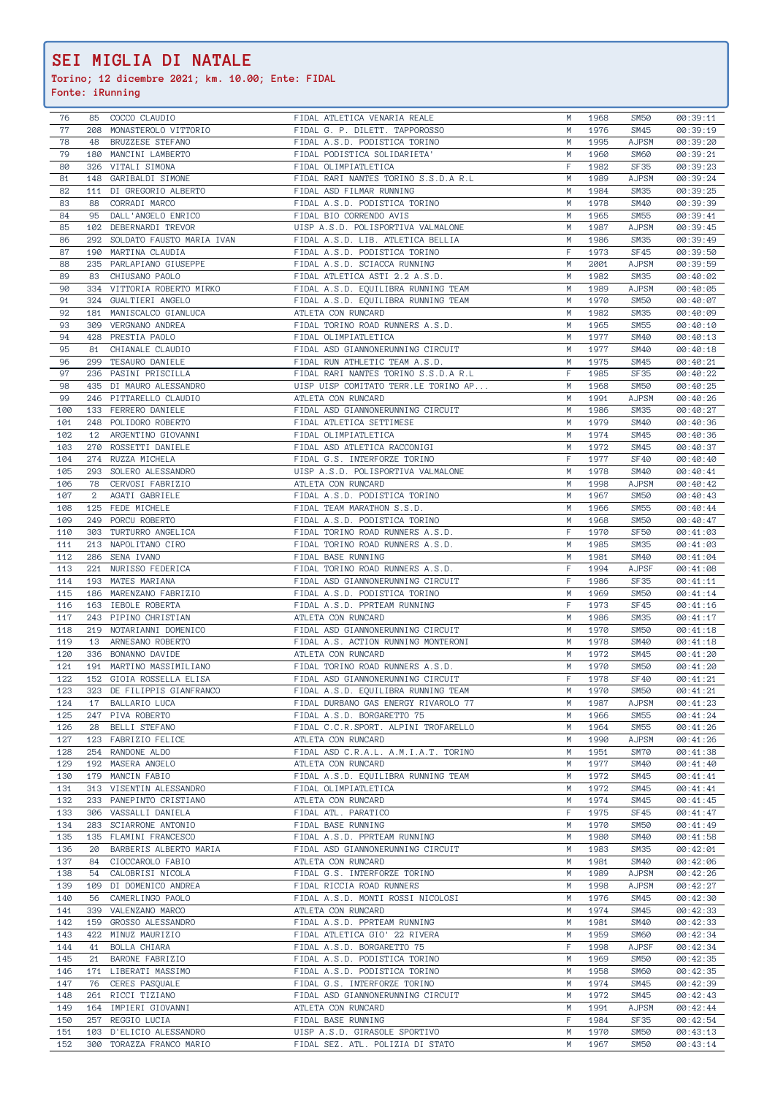**Torino; 12 dicembre 2021; km. 10.00; Ente: FIDAL**

| 76  | 85  | COCCO CLAUDIO              | FIDAL ATLETICA VENARIA REALE         | M  | 1968 | <b>SM50</b>  | 00:39:11 |
|-----|-----|----------------------------|--------------------------------------|----|------|--------------|----------|
| 77  | 208 | MONASTEROLO VITTORIO       | FIDAL G. P. DILETT. TAPPOROSSO       | M  | 1976 | SM45         | 00:39:19 |
|     |     |                            |                                      |    |      |              |          |
| 78  | 48  | BRUZZESE STEFANO           | FIDAL A.S.D. PODISTICA TORINO        | M  | 1995 | <b>AJPSM</b> | 00:39:20 |
| 79  | 180 | MANCINI LAMBERTO           | FIDAL PODISTICA SOLIDARIETA'         | M  | 1960 | <b>SM60</b>  | 00:39:21 |
| 80  | 326 | VITALI SIMONA              | FIDAL OLIMPIATLETICA                 | F  | 1982 | <b>SF35</b>  | 00:39:23 |
| 81  | 148 | GARIBALDI SIMONE           | FIDAL RARI NANTES TORINO S.S.D.A R.L | М  | 1989 | <b>AJPSM</b> | 00:39:24 |
| 82  | 111 | DI GREGORIO ALBERTO        | FIDAL ASD FILMAR RUNNING             | M  | 1984 | SM35         | 00:39:25 |
| 83  | 88  | CORRADI MARCO              | FIDAL A.S.D. PODISTICA TORINO        | M  | 1978 | <b>SM40</b>  | 00:39:39 |
|     |     |                            |                                      |    |      |              |          |
| 84  | 95  | DALL'ANGELO ENRICO         | FIDAL BIO CORRENDO AVIS              | M  | 1965 | <b>SM55</b>  | 00:39:41 |
| 85  | 102 | DEBERNARDI TREVOR          | UISP A.S.D. POLISPORTIVA VALMALONE   | M  | 1987 | <b>AJPSM</b> | 00:39:45 |
| 86  | 292 | SOLDATO FAUSTO MARIA IVAN  | FIDAL A.S.D. LIB. ATLETICA BELLIA    | M  | 1986 | SM35         | 00:39:49 |
| 87  | 190 | MARTINA CLAUDIA            | FIDAL A.S.D. PODISTICA TORINO        | F  | 1973 | SF45         | 00:39:50 |
| 88  | 235 | PARLAPIANO GIUSEPPE        | FIDAL A.S.D. SCIACCA RUNNING         | M  | 2001 | <b>AJPSM</b> | 00:39:59 |
|     |     |                            |                                      |    |      |              |          |
| 89  | 83  | CHIUSANO PAOLO             | FIDAL ATLETICA ASTI 2.2 A.S.D.       | М  | 1982 | <b>SM35</b>  | 00:40:02 |
| 90  | 334 | VITTORIA ROBERTO MIRKO     | FIDAL A.S.D. EQUILIBRA RUNNING TEAM  | M  | 1989 | <b>AJPSM</b> | 00:40:05 |
| 91  | 324 | GUALTIERI ANGELO           | FIDAL A.S.D. EQUILIBRA RUNNING TEAM  | M  | 1970 | <b>SM50</b>  | 00:40:07 |
| 92  | 181 | MANISCALCO GIANLUCA        | ATLETA CON RUNCARD                   | M  | 1982 | <b>SM35</b>  | 00:40:09 |
| 93  | 309 | VERGNANO ANDREA            | FIDAL TORINO ROAD RUNNERS A.S.D.     | M  | 1965 | <b>SM55</b>  | 00:40:10 |
|     | 428 |                            |                                      |    |      |              |          |
| 94  |     | PRESTIA PAOLO              | FIDAL OLIMPIATLETICA                 | M  | 1977 | <b>SM40</b>  | 00:40:13 |
| 95  | 81  | CHIANALE CLAUDIO           | FIDAL ASD GIANNONERUNNING CIRCUIT    | M  | 1977 | <b>SM40</b>  | 00:40:18 |
| 96  | 299 | TESAURO DANIELE            | FIDAL RUN ATHLETIC TEAM A.S.D.       | M  | 1975 | <b>SM45</b>  | 00:40:21 |
| 97  | 236 | PASINI PRISCILLA           | FIDAL RARI NANTES TORINO S.S.D.A R.L | F  | 1985 | <b>SF35</b>  | 00:40:22 |
| 98  | 435 | DI MAURO ALESSANDRO        | UISP UISP COMITATO TERR.LE TORINO AP | M  | 1968 | <b>SM50</b>  | 00:40:25 |
|     |     |                            | ATLETA CON RUNCARD                   |    |      |              |          |
| 99  | 246 | PITTARELLO CLAUDIO         |                                      | M  | 1991 | <b>AJPSM</b> | 00:40:26 |
| 100 |     | 133 FERRERO DANIELE        | FIDAL ASD GIANNONERUNNING CIRCUIT    | M  | 1986 | <b>SM35</b>  | 00:40:27 |
| 101 | 248 | POLIDORO ROBERTO           | FIDAL ATLETICA SETTIMESE             | M  | 1979 | <b>SM40</b>  | 00:40:36 |
| 102 |     | 12 ARGENTINO GIOVANNI      | FIDAL OLIMPIATLETICA                 | M  | 1974 | SM45         | 00:40:36 |
| 103 | 270 | ROSSETTI DANIELE           | FIDAL ASD ATLETICA RACCONIGI         | M  | 1972 | SM45         | 00:40:37 |
|     |     |                            |                                      | F  |      |              |          |
| 104 | 274 | RUZZA MICHELA              | FIDAL G.S. INTERFORZE TORINO         |    | 1977 | <b>SF40</b>  | 00:40:40 |
| 105 | 293 | SOLERO ALESSANDRO          | UISP A.S.D. POLISPORTIVA VALMALONE   | M  | 1978 | <b>SM40</b>  | 00:40:41 |
| 106 | 78  | CERVOSI FABRIZIO           | ATLETA CON RUNCARD                   | M  | 1998 | AJPSM        | 00:40:42 |
| 107 | 2   | AGATI GABRIELE             | FIDAL A.S.D. PODISTICA TORINO        | M  | 1967 | SM50         | 00:40:43 |
| 108 | 125 | FEDE MICHELE               | FIDAL TEAM MARATHON S.S.D.           | M  | 1966 | <b>SM55</b>  | 00:40:44 |
|     |     |                            |                                      |    |      |              |          |
| 109 | 249 | PORCU ROBERTO              | FIDAL A.S.D. PODISTICA TORINO        | M  | 1968 | <b>SM50</b>  | 00:40:47 |
| 110 | 303 | TURTURRO ANGELICA          | FIDAL TORINO ROAD RUNNERS A.S.D.     | F  | 1970 | <b>SF50</b>  | 00:41:03 |
| 111 |     | 213 NAPOLITANO CIRO        | FIDAL TORINO ROAD RUNNERS A.S.D.     | M  | 1985 | SM35         | 00:41:03 |
| 112 | 286 | SENA IVANO                 | FIDAL BASE RUNNING                   | M  | 1981 | <b>SM40</b>  | 00:41:04 |
| 113 | 221 | NURISSO FEDERICA           | FIDAL TORINO ROAD RUNNERS A.S.D.     | F  | 1994 | <b>AJPSF</b> | 00:41:08 |
|     |     |                            |                                      |    |      |              |          |
| 114 | 193 | MATES MARIANA              | FIDAL ASD GIANNONERUNNING CIRCUIT    | F  | 1986 | SF35         | 00:41:11 |
| 115 |     | 186 MARENZANO FABRIZIO     | FIDAL A.S.D. PODISTICA TORINO        | M  | 1969 | <b>SM50</b>  | 00:41:14 |
| 116 |     | 163 IEBOLE ROBERTA         | FIDAL A.S.D. PPRTEAM RUNNING         | F  | 1973 | SF45         | 00:41:16 |
| 117 |     | 243 PIPINO CHRISTIAN       | ATLETA CON RUNCARD                   | M  | 1986 | <b>SM35</b>  | 00:41:17 |
| 118 | 219 | NOTARIANNI DOMENICO        | FIDAL ASD GIANNONERUNNING CIRCUIT    | М  | 1970 | <b>SM50</b>  | 00:41:18 |
| 119 |     | 13 ARNESANO ROBERTO        | FIDAL A.S. ACTION RUNNING MONTERONI  | M  | 1978 | <b>SM40</b>  | 00:41:18 |
|     |     |                            |                                      |    |      |              |          |
| 120 | 336 | BONANNO DAVIDE             | ATLETA CON RUNCARD                   | M  | 1972 | SM45         | 00:41:20 |
| 121 | 191 | MARTINO MASSIMILIANO       | FIDAL TORINO ROAD RUNNERS A.S.D.     | M  | 1970 | <b>SM50</b>  | 00:41:20 |
| 122 |     | 152 GIOIA ROSSELLA ELISA   | FIDAL ASD GIANNONERUNNING CIRCUIT    | F  | 1978 | <b>SF40</b>  | 00:41:21 |
| 123 |     | 323 DE FILIPPIS GIANFRANCO | FIDAL A.S.D. EQUILIBRA RUNNING TEAM  | M  | 1970 | <b>SM50</b>  | 00:41:21 |
| 124 | 17  | BALLARIO LUCA              | FIDAL DURBANO GAS ENERGY RIVAROLO 77 | M  | 1987 | <b>AJPSM</b> | 00:41:23 |
|     |     |                            |                                      |    |      |              |          |
| 125 | 247 | PIVA ROBERTO               | FIDAL A.S.D. BORGARETTO 75           | M  | 1966 | <b>SM55</b>  | 00:41:24 |
| 126 | 28  | BELLI STEFANO              | FIDAL C.C.R.SPORT. ALPINI TROFARELLO | M  | 1964 | <b>SM55</b>  | 00:41:26 |
| 127 |     | 123 FABRIZIO FELICE        | ATLETA CON RUNCARD                   | M  | 1990 | <b>AJPSM</b> | 00:41:26 |
| 128 |     | 254 RANDONE ALDO           | FIDAL ASD C.R.A.L. A.M.I.A.T. TORINO | M  | 1951 | <b>SM70</b>  | 00:41:38 |
| 129 |     | 192 MASERA ANGELO          | ATLETA CON RUNCARD                   | M  | 1977 | <b>SM40</b>  | 00:41:40 |
|     |     |                            |                                      |    |      |              |          |
| 130 |     | 179 MANCIN FABIO           | FIDAL A.S.D. EQUILIBRA RUNNING TEAM  | M  | 1972 | SM45         | 00:41:41 |
| 131 |     | 313 VISENTIN ALESSANDRO    | FIDAL OLIMPIATLETICA                 | М  | 1972 | SM45         | 00:41:41 |
| 132 |     | 233 PANEPINTO CRISTIANO    | ATLETA CON RUNCARD                   | M  | 1974 | SM45         | 00:41:45 |
| 133 |     | 306 VASSALLI DANIELA       | FIDAL ATL. PARATICO                  | F. | 1975 | SF45         | 00:41:47 |
| 134 |     | 283 SCIARRONE ANTONIO      | FIDAL BASE RUNNING                   | M  | 1970 | <b>SM50</b>  | 00:41:49 |
|     |     |                            |                                      |    |      |              |          |
| 135 |     | 135 FLAMINI FRANCESCO      | FIDAL A.S.D. PPRTEAM RUNNING         | M  | 1980 | <b>SM40</b>  | 00:41:58 |
| 136 | 20  | BARBERIS ALBERTO MARIA     | FIDAL ASD GIANNONERUNNING CIRCUIT    | M  | 1983 | SM35         | 00:42:01 |
| 137 | 84  | CIOCCAROLO FABIO           | ATLETA CON RUNCARD                   | M  | 1981 | <b>SM40</b>  | 00:42:06 |
| 138 | 54  | CALOBRISI NICOLA           | FIDAL G.S. INTERFORZE TORINO         | M  | 1989 | <b>AJPSM</b> | 00:42:26 |
| 139 |     | 109 DI DOMENICO ANDREA     | FIDAL RICCIA ROAD RUNNERS            | M  | 1998 | <b>AJPSM</b> | 00:42:27 |
|     |     |                            |                                      |    |      |              |          |
| 140 | 56  | CAMERLINGO PAOLO           | FIDAL A.S.D. MONTI ROSSI NICOLOSI    | М  | 1976 | SM45         | 00:42:30 |
| 141 |     | 339 VALENZANO MARCO        | ATLETA CON RUNCARD                   | M  | 1974 | SM45         | 00:42:33 |
| 142 |     | 159 GROSSO ALESSANDRO      | FIDAL A.S.D. PPRTEAM RUNNING         | M  | 1981 | <b>SM40</b>  | 00:42:33 |
| 143 |     | 422 MINUZ MAURIZIO         | FIDAL ATLETICA GIO' 22 RIVERA        | M  | 1959 | SM60         | 00:42:34 |
| 144 | 41  | BOLLA CHIARA               | FIDAL A.S.D. BORGARETTO 75           | F. | 1998 | <b>AJPSF</b> | 00:42:34 |
|     |     |                            |                                      |    |      |              |          |
| 145 | 21  | BARONE FABRIZIO            | FIDAL A.S.D. PODISTICA TORINO        | M  | 1969 | <b>SM50</b>  | 00:42:35 |
| 146 |     | 171 LIBERATI MASSIMO       | FIDAL A.S.D. PODISTICA TORINO        | M  | 1958 | <b>SM60</b>  | 00:42:35 |
| 147 | 76  | CERES PASQUALE             | FIDAL G.S. INTERFORZE TORINO         | M  | 1974 | SM45         | 00:42:39 |
| 148 |     | 261 RICCI TIZIANO          | FIDAL ASD GIANNONERUNNING CIRCUIT    | М  | 1972 | SM45         | 00:42:43 |
| 149 |     | 164 IMPIERI GIOVANNI       | ATLETA CON RUNCARD                   | M  | 1991 | <b>AJPSM</b> | 00:42:44 |
| 150 |     | 257 REGGIO LUCIA           | FIDAL BASE RUNNING                   | F. | 1984 | <b>SF35</b>  | 00:42:54 |
|     |     |                            |                                      |    |      |              |          |
| 151 |     | 103 D'ELICIO ALESSANDRO    | UISP A.S.D. GIRASOLE SPORTIVO        | M  | 1970 | <b>SM50</b>  | 00:43:13 |
| 152 |     | 300 TORAZZA FRANCO MARIO   | FIDAL SEZ. ATL. POLIZIA DI STATO     | M  | 1967 | SM50         | 00:43:14 |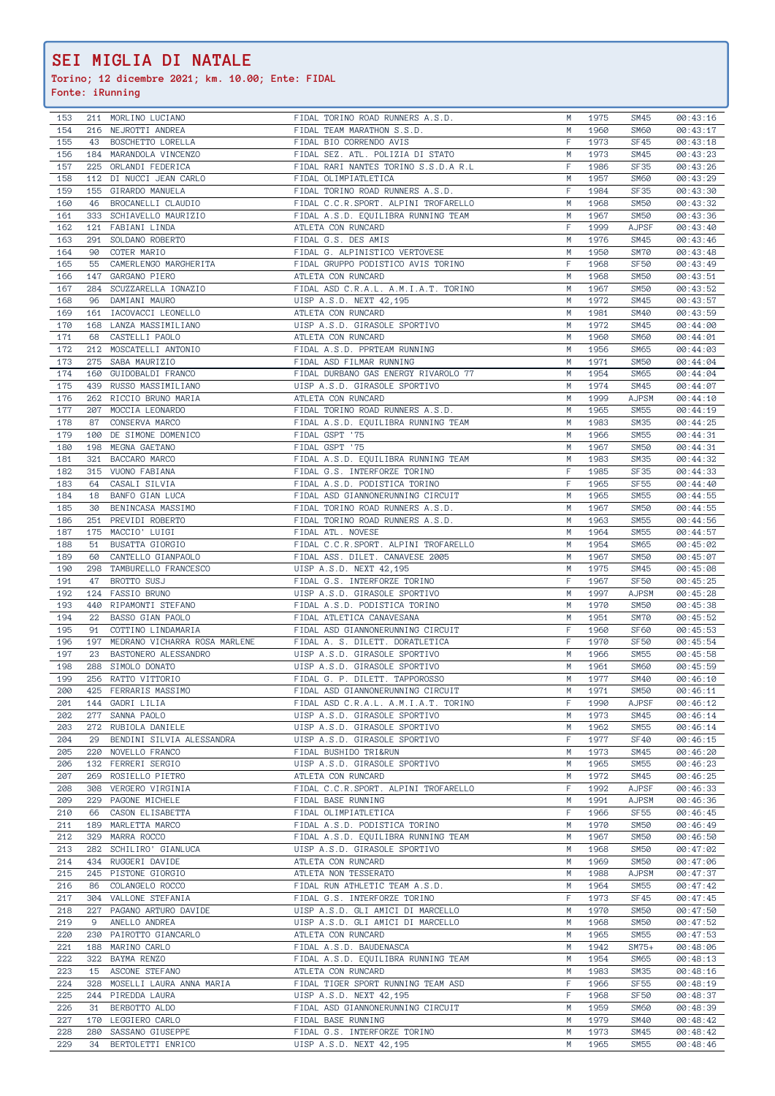**Torino; 12 dicembre 2021; km. 10.00; Ente: FIDAL**

| 153        |     |                                           |                                                         |        |              |                            |                      |
|------------|-----|-------------------------------------------|---------------------------------------------------------|--------|--------------|----------------------------|----------------------|
|            |     | 211 MORLINO LUCIANO                       | FIDAL TORINO ROAD RUNNERS A.S.D.                        | М      | 1975         | SM45                       | 00:43:16             |
|            |     |                                           |                                                         |        |              |                            |                      |
| 154        | 216 | NEJROTTI ANDREA                           | FIDAL TEAM MARATHON S.S.D.                              | M      | 1960         | <b>SM60</b>                | 00:43:17             |
| 155        | 43  | BOSCHETTO LORELLA                         | FIDAL BIO CORRENDO AVIS                                 | F      | 1973         | SF45                       | 00:43:18             |
| 156        |     |                                           | FIDAL SEZ. ATL. POLIZIA DI STATO                        | М      |              |                            |                      |
|            |     | 184 MARANDOLA VINCENZO                    |                                                         |        | 1973         | SM45                       | 00:43:23             |
| 157        |     | 225 ORLANDI FEDERICA                      | FIDAL RARI NANTES TORINO S.S.D.A R.L                    | F      | 1986         | <b>SF35</b>                | 00:43:26             |
| 158        | 112 | DI NUCCI JEAN CARLO                       | FIDAL OLIMPIATLETICA                                    | М      | 1957         | <b>SM60</b>                | 00:43:29             |
|            |     |                                           |                                                         |        |              |                            |                      |
| 159        | 155 | GIRARDO MANUELA                           | FIDAL TORINO ROAD RUNNERS A.S.D.                        | F      | 1984         | <b>SF35</b>                | 00:43:30             |
| 160        | 46  | BROCANELLI CLAUDIO                        | FIDAL C.C.R.SPORT. ALPINI TROFARELLO                    | М      | 1968         | <b>SM50</b>                | 00:43:32             |
|            |     |                                           |                                                         |        |              |                            |                      |
| 161        | 333 | SCHIAVELLO MAURIZIO                       | FIDAL A.S.D. EQUILIBRA RUNNING TEAM                     | М      | 1967         | <b>SM50</b>                | 00:43:36             |
| 162        | 121 | FABIANI LINDA                             | ATLETA CON RUNCARD                                      | F      | 1999         | <b>AJPSF</b>               | 00:43:40             |
|            |     |                                           |                                                         |        |              |                            |                      |
| 163        | 291 | SOLDANO ROBERTO                           | FIDAL G.S. DES AMIS                                     | M      | 1976         | <b>SM45</b>                | 00:43:46             |
| 164        | 90  | COTER MARIO                               | FIDAL G. ALPINISTICO VERTOVESE                          | M      | 1950         | SM70                       | 00:43:48             |
|            |     |                                           |                                                         | F      |              |                            |                      |
| 165        | 55  | CAMERLENGO MARGHERITA                     | FIDAL GRUPPO PODISTICO AVIS TORINO                      |        | 1968         | <b>SF50</b>                | 00:43:49             |
| 166        | 147 | GARGANO PIERO                             | ATLETA CON RUNCARD                                      | М      | 1968         | <b>SM50</b>                | 00:43:51             |
| 167        | 284 | SCUZZARELLA IGNAZIO                       |                                                         | M      | 1967         | <b>SM50</b>                |                      |
|            |     |                                           | FIDAL ASD C.R.A.L. A.M.I.A.T. TORINO                    |        |              |                            | 00:43:52             |
| 168        | 96  | DAMIANI MAURO                             | UISP A.S.D. NEXT 42,195                                 | M      | 1972         | <b>SM45</b>                | 00:43:57             |
| 169        |     | 161 IACOVACCI LEONELLO                    | ATLETA CON RUNCARD                                      | М      | 1981         | <b>SM40</b>                | 00:43:59             |
|            |     |                                           |                                                         |        |              |                            |                      |
| 170        | 168 | LANZA MASSIMILIANO                        | UISP A.S.D. GIRASOLE SPORTIVO                           | M      | 1972         | <b>SM45</b>                | 00:44:00             |
| 171        | 68  | CASTELLI PAOLO                            | ATLETA CON RUNCARD                                      | M      | 1960         | <b>SM60</b>                | 00:44:01             |
|            |     |                                           |                                                         |        |              |                            |                      |
| 172        | 212 | MOSCATELLI ANTONIO                        | FIDAL A.S.D. PPRTEAM RUNNING                            | M      | 1956         | <b>SM65</b>                | 00:44:03             |
| 173        | 275 | SABA MAURIZIO                             | FIDAL ASD FILMAR RUNNING                                | М      | 1971         | <b>SM50</b>                | 00:44:04             |
|            |     |                                           |                                                         |        |              |                            |                      |
| 174        | 160 | GUIDOBALDI FRANCO                         | FIDAL DURBANO GAS ENERGY RIVAROLO 77                    | М      | 1954         | SM65                       | 00:44:04             |
| 175        | 439 | RUSSO MASSIMILIANO                        | UISP A.S.D. GIRASOLE SPORTIVO                           | М      | 1974         | SM45                       | 00:44:07             |
|            |     |                                           |                                                         |        |              |                            |                      |
| 176        | 262 | RICCIO BRUNO MARIA                        | ATLETA CON RUNCARD                                      | M      | 1999         | <b>AJPSM</b>               | 00:44:10             |
| 177        | 207 | MOCCIA LEONARDO                           | FIDAL TORINO ROAD RUNNERS A.S.D.                        | М      | 1965         | <b>SM55</b>                | 00:44:19             |
|            |     |                                           |                                                         |        |              |                            |                      |
| 178        | 87  | CONSERVA MARCO                            | FIDAL A.S.D. EQUILIBRA RUNNING TEAM                     | М      | 1983         | SM35                       | 00:44:25             |
| 179        | 100 | DE SIMONE DOMENICO                        | FIDAL GSPT '75                                          | M      | 1966         | <b>SM55</b>                | 00:44:31             |
|            |     |                                           |                                                         |        |              |                            |                      |
| 180        | 198 | MEGNA GAETANO                             | FIDAL GSPT '75                                          | M      | 1967         | <b>SM50</b>                | 00:44:31             |
| 181        | 321 | BACCARO MARCO                             | FIDAL A.S.D. EQUILIBRA RUNNING TEAM                     | М      | 1983         | SM35                       | 00:44:32             |
|            |     |                                           |                                                         |        |              |                            |                      |
| 182        | 315 | VUONO FABIANA                             | FIDAL G.S. INTERFORZE TORINO                            | F      | 1985         | SF35                       | 00:44:33             |
| 183        | 64  | CASALI SILVIA                             | FIDAL A.S.D. PODISTICA TORINO                           | F.     | 1965         | <b>SF55</b>                | 00:44:40             |
| 184        |     |                                           |                                                         | М      |              | <b>SM55</b>                |                      |
|            | 18  | BANFO GIAN LUCA                           | FIDAL ASD GIANNONERUNNING CIRCUIT                       |        | 1965         |                            | 00:44:55             |
| 185        | 30  | BENINCASA MASSIMO                         | FIDAL TORINO ROAD RUNNERS A.S.D.                        | М      | 1967         | <b>SM50</b>                | 00:44:55             |
| 186        | 251 | PREVIDI ROBERTO                           | FIDAL TORINO ROAD RUNNERS A.S.D.                        | М      | 1963         | <b>SM55</b>                | 00:44:56             |
|            |     |                                           |                                                         |        |              |                            |                      |
| 187        | 175 | MACCIO' LUIGI                             | FIDAL ATL. NOVESE                                       | M      | 1964         | <b>SM55</b>                | 00:44:57             |
| 188        | 51  | BUSATTA GIORGIO                           | FIDAL C.C.R.SPORT. ALPINI TROFARELLO                    | M      | 1954         | <b>SM65</b>                | 00:45:02             |
|            |     |                                           |                                                         |        |              |                            |                      |
| 189        | 60  | CANTELLO GIANPAOLO                        | FIDAL ASS. DILET. CANAVESE 2005                         | М      | 1967         | <b>SM50</b>                | 00:45:07             |
| 190        | 298 | TAMBURELLO FRANCESCO                      | UISP A.S.D. NEXT 42,195                                 | М      | 1975         | SM45                       | 00:45:08             |
|            |     |                                           |                                                         |        |              |                            |                      |
| 191        | 47  | BROTTO SUSJ                               | FIDAL G.S. INTERFORZE TORINO                            | F      | 1967         | <b>SF50</b>                | 00:45:25             |
| 192        | 124 | FASSIO BRUNO                              | UISP A.S.D. GIRASOLE SPORTIVO                           | M      | 1997         | <b>AJPSM</b>               | 00:45:28             |
|            |     |                                           |                                                         |        |              |                            |                      |
| 193        | 440 | RIPAMONTI STEFANO                         | FIDAL A.S.D. PODISTICA TORINO                           | М      | 1970         | <b>SM50</b>                | 00:45:38             |
| 194        | 22  | BASSO GIAN PAOLO                          | FIDAL ATLETICA CANAVESANA                               | М      | 1951         | SM70                       | 00:45:52             |
|            |     |                                           |                                                         |        |              |                            |                      |
| 195        | 91  | COTTINO LINDAMARIA                        | FIDAL ASD GIANNONERUNNING CIRCUIT                       | F      | 1960         | SF60                       | 00:45:53             |
| 196        | 197 | MEDRANO VICHARRA ROSA MARLENE             | FIDAL A. S. DILETT. DORATLETICA                         | F      | 1970         | <b>SF50</b>                | 00:45:54             |
| 197        |     | BASTONERO ALESSANDRO                      | UISP A.S.D. GIRASOLE SPORTIVO                           | M      |              |                            |                      |
|            | 23  |                                           |                                                         |        | 1966         | <b>SM55</b>                | 00:45:58             |
| 198        | 288 | SIMOLO DONATO                             | UISP A.S.D. GIRASOLE SPORTIVO                           |        |              |                            | 00:45:59             |
| 199        | 256 |                                           |                                                         | М      | 1961         | SM60                       |                      |
|            |     |                                           |                                                         |        |              |                            |                      |
|            |     | RATTO VITTORIO                            | FIDAL G. P. DILETT. TAPPOROSSO                          | М      | 1977         | SM40                       | 00:46:10             |
| 200        |     | 425 FERRARIS MASSIMO                      |                                                         | M      | 1971         | <b>SM50</b>                | 00:46:11             |
|            |     |                                           | FIDAL ASD GIANNONERUNNING CIRCUIT                       |        |              |                            |                      |
| 201        |     | 144 GADRI LILIA                           | FIDAL ASD C.R.A.L. A.M.I.A.T. TORINO                    | F.     | 1990         | <b>AJPSF</b>               | 00:46:12             |
| 202        |     | 277 SANNA PAOLO                           | UISP A.S.D. GIRASOLE SPORTIVO                           | M      | 1973         | <b>SM45</b>                | 00:46:14             |
|            |     |                                           |                                                         | M      |              |                            |                      |
| 203        |     | 272 RUBIOLA DANIELE                       | UISP A.S.D. GIRASOLE SPORTIVO                           |        | 1962         | <b>SM55</b>                | 00:46:14             |
| 204        | 29  | BENDINI SILVIA ALESSANDRA                 | UISP A.S.D. GIRASOLE SPORTIVO                           | F      | 1977         | <b>SF40</b>                | 00:46:15             |
| 205        |     | 220 NOVELLO FRANCO                        | FIDAL BUSHIDO TRI&RUN                                   | M      | 1973         | SM45                       | 00:46:20             |
|            |     |                                           |                                                         |        |              |                            |                      |
| 206        |     | 132 FERRERI SERGIO                        | UISP A.S.D. GIRASOLE SPORTIVO                           | М      | 1965         | <b>SM55</b>                | 00:46:23             |
| 207        |     | 269 ROSIELLO PIETRO                       | ATLETA CON RUNCARD                                      | М      | 1972         | SM45                       | 00:46:25             |
|            |     |                                           |                                                         |        |              |                            |                      |
| 208        | 308 | VERGERO VIRGINIA                          | FIDAL C.C.R.SPORT. ALPINI TROFARELLO                    | F.     | 1992         | <b>AJPSF</b>               | 00:46:33             |
| 209        |     | 229 PAGONE MICHELE                        | FIDAL BASE RUNNING                                      | М      | 1991         | <b>AJPSM</b>               | 00:46:36             |
|            |     |                                           |                                                         | F      | 1966         |                            |                      |
| 210        |     | 66 CASON ELISABETTA                       | FIDAL OLIMPIATLETICA                                    |        |              | SF <sub>55</sub>           | 00:46:45             |
| 211        |     | 189 MARLETTA MARCO                        | FIDAL A.S.D. PODISTICA TORINO                           | М      | 1970         | <b>SM50</b>                | 00:46:49             |
| 212        |     | 329 MARRA ROCCO                           | FIDAL A.S.D. EQUILIBRA RUNNING TEAM                     | M      | 1967         | <b>SM50</b>                | 00:46:50             |
|            |     |                                           |                                                         |        |              |                            |                      |
| 213        |     | 282 SCHILIRO' GIANLUCA                    | UISP A.S.D. GIRASOLE SPORTIVO                           | M      | 1968         | <b>SM50</b>                | 00:47:02             |
| 214        |     | 434 RUGGERI DAVIDE                        | ATLETA CON RUNCARD                                      | М      | 1969         | <b>SM50</b>                | 00:47:06             |
|            |     |                                           |                                                         |        |              |                            |                      |
| 215        |     | 245 PISTONE GIORGIO                       | ATLETA NON TESSERATO                                    | М      | 1988         | <b>AJPSM</b>               | 00:47:37             |
| 216        | 86  | COLANGELO ROCCO                           | FIDAL RUN ATHLETIC TEAM A.S.D.                          | М      | 1964         | <b>SM55</b>                | 00:47:42             |
|            |     |                                           |                                                         |        |              |                            |                      |
| 217        |     | 304 VALLONE STEFANIA                      | FIDAL G.S. INTERFORZE TORINO                            | F.     | 1973         | SF45                       | 00:47:45             |
| 218        |     | 227 PAGANO ARTURO DAVIDE                  | UISP A.S.D. GLI AMICI DI MARCELLO                       | М      | 1970         | <b>SM50</b>                | 00:47:50             |
|            |     |                                           |                                                         |        |              |                            |                      |
| 219        | 9   | ANELLO ANDREA                             | UISP A.S.D. GLI AMICI DI MARCELLO                       | М      | 1968         | <b>SM50</b>                | 00:47:52             |
| 220        | 230 | PAIROTTO GIANCARLO                        | ATLETA CON RUNCARD                                      | M      | 1965         | <b>SM55</b>                | 00:47:53             |
|            |     |                                           |                                                         |        |              |                            |                      |
| 221        |     | 188 MARINO CARLO                          | FIDAL A.S.D. BAUDENASCA                                 | M      | 1942         | $SM75+$                    | 00:48:06             |
| 222        | 322 | BAYMA RENZO                               | FIDAL A.S.D. EQUILIBRA RUNNING TEAM                     | М      | 1954         | SM65                       | 00:48:13             |
|            |     |                                           |                                                         |        |              |                            |                      |
| 223        | 15  | ASCONE STEFANO                            | ATLETA CON RUNCARD                                      | М      | 1983         | SM35                       | 00:48:16             |
| 224        | 328 | MOSELLI LAURA ANNA MARIA                  | FIDAL TIGER SPORT RUNNING TEAM ASD                      | F.     | 1966         | <b>SF55</b>                | 00:48:19             |
|            |     |                                           |                                                         | F.     |              |                            |                      |
| 225        |     | 244 PIREDDA LAURA                         | UISP A.S.D. NEXT 42,195                                 |        | 1968         | <b>SF50</b>                | 00:48:37             |
| 226        | 31  | BERBOTTO ALDO                             | FIDAL ASD GIANNONERUNNING CIRCUIT                       | М      | 1959         | <b>SM60</b>                | 00:48:39             |
| 227        |     | 170 LEGGIERO CARLO                        | FIDAL BASE RUNNING                                      | M      | 1979         | <b>SM40</b>                | 00:48:42             |
|            |     |                                           |                                                         |        |              |                            |                      |
| 228<br>229 | 34  | 280 SASSANO GIUSEPPE<br>BERTOLETTI ENRICO | FIDAL G.S. INTERFORZE TORINO<br>UISP A.S.D. NEXT 42,195 | M<br>M | 1973<br>1965 | <b>SM45</b><br><b>SM55</b> | 00:48:42<br>00:48:46 |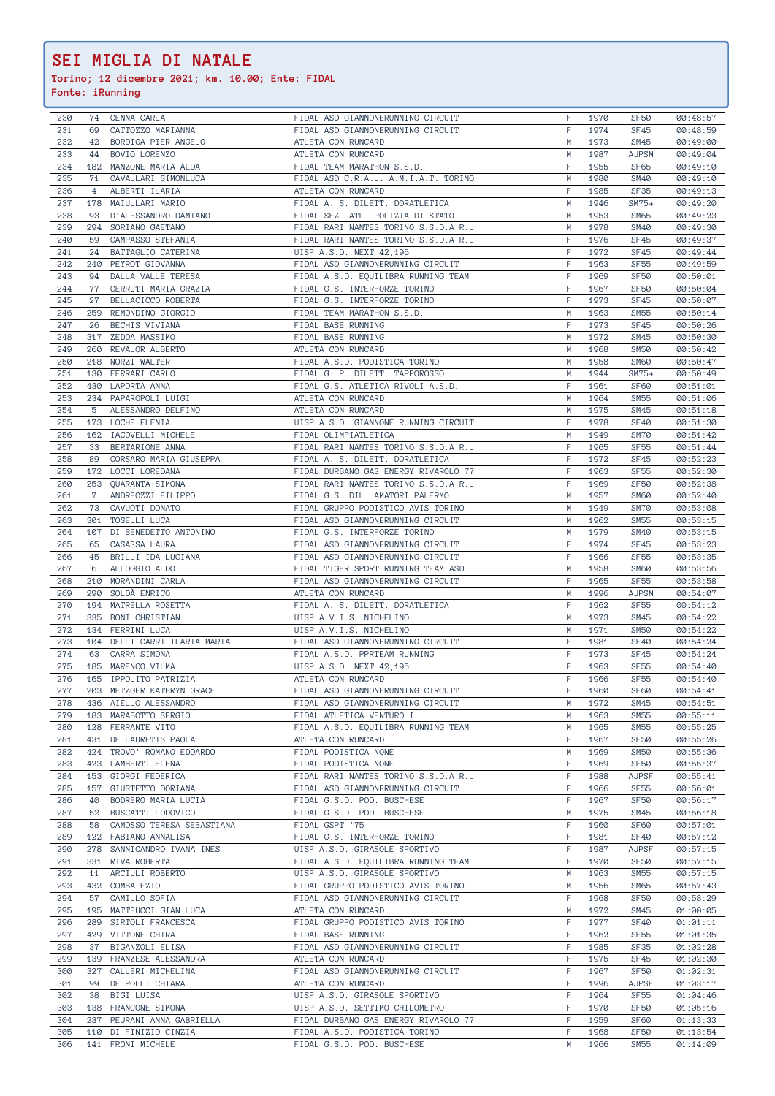**Torino; 12 dicembre 2021; km. 10.00; Ente: FIDAL**

| 230        | 74             | CENNA CARLA                                | FIDAL ASD GIANNONERUNNING CIRCUIT                           | F       | 1970         | <b>SF50</b>              | 00:48:57             |
|------------|----------------|--------------------------------------------|-------------------------------------------------------------|---------|--------------|--------------------------|----------------------|
| 231        | 69             | CATTOZZO MARIANNA                          | FIDAL ASD GIANNONERUNNING CIRCUIT                           | F       | 1974         | SF45                     | 00:48:59             |
| 232        | 42             | BORDIGA PIER ANGELO                        | ATLETA CON RUNCARD                                          | М       | 1973         | <b>SM45</b>              | 00:49:00             |
| 233        | 44             | BOVIO LORENZO                              | ATLETA CON RUNCARD                                          | М       | 1987         | <b>AJPSM</b>             | 00:49:04             |
| 234        | 182            | MANZONE MARIA ALDA                         | FIDAL TEAM MARATHON S.S.D.                                  | F       | 1955         | SF65                     | 00:49:10             |
| 235        | 71             | CAVALLARI SIMONLUCA                        | FIDAL ASD C.R.A.L. A.M.I.A.T. TORINO                        | М       | 1980         | <b>SM40</b>              | 00:49:10             |
| 236        | $\overline{4}$ | ALBERTI ILARIA                             | ATLETA CON RUNCARD                                          | F       | 1985         | <b>SF35</b>              | 00:49:13             |
|            | 178            | MAIULLARI MARIO                            |                                                             | M       |              | $SM75+$                  |                      |
| 237        |                |                                            | FIDAL A. S. DILETT. DORATLETICA                             |         | 1946         |                          | 00:49:20             |
| 238        | 93             | D'ALESSANDRO DAMIANO                       | FIDAL SEZ. ATL. POLIZIA DI STATO                            | М       | 1953         | SM65                     | 00:49:23             |
| 239        | 294            | SORIANO GAETANO                            | FIDAL RARI NANTES TORINO S.S.D.A R.L                        | М       | 1978         | <b>SM40</b>              | 00:49:30             |
| 240        | 59             | CAMPASSO STEFANIA                          | FIDAL RARI NANTES TORINO S.S.D.A R.L                        | F       | 1976         | SF45                     | 00:49:37             |
| 241        | 24             | BATTAGLIO CATERINA                         | UISP A.S.D. NEXT 42,195                                     | F       | 1972         | SF45                     | 00:49:44             |
| 242        | 240            | PEYROT GIOVANNA                            | FIDAL ASD GIANNONERUNNING CIRCUIT                           | F       | 1963         | <b>SF55</b>              | 00:49:59             |
| 243        | 94             | DALLA VALLE TERESA                         | FIDAL A.S.D. EQUILIBRA RUNNING TEAM                         | F       | 1969         | <b>SF50</b>              | 00:50:01             |
| 244        | 77             | CERRUTI MARIA GRAZIA                       | FIDAL G.S. INTERFORZE TORINO                                | F       | 1967         | <b>SF50</b>              | 00:50:04             |
| 245        | 27             | BELLACICCO ROBERTA                         | FIDAL G.S. INTERFORZE TORINO                                | F       | 1973         | SF45                     | 00:50:07             |
| 246        | 259            | REMONDINO GIORGIO                          | FIDAL TEAM MARATHON S.S.D.                                  | M       | 1963         | <b>SM55</b>              | 00:50:14             |
| 247        | 26             | BECHIS VIVIANA                             | FIDAL BASE RUNNING                                          | F       | 1973         | SF45                     | 00:50:26             |
| 248        | 317            | ZEDDA MASSIMO                              | FIDAL BASE RUNNING                                          | М       | 1972         | <b>SM45</b>              | 00:50:30             |
| 249        | 260            | REVALOR ALBERTO                            | ATLETA CON RUNCARD                                          | M       | 1968         | <b>SM50</b>              | 00:50:42             |
| 250        | 218            | NORZI WALTER                               | FIDAL A.S.D. PODISTICA TORINO                               | М       | 1958         | <b>SM60</b>              | 00:50:47             |
|            |                |                                            |                                                             |         |              |                          |                      |
| 251        | 130            | FERRARI CARLO                              | FIDAL G. P. DILETT. TAPPOROSSO                              | М       | 1944         | $SM75+$                  | 00:50:49             |
| 252        |                | 430 LAPORTA ANNA                           | FIDAL G.S. ATLETICA RIVOLI A.S.D.                           | F       | 1961         | <b>SF60</b>              | 00:51:01             |
| 253        | 234            | PAPAROPOLI LUIGI                           | ATLETA CON RUNCARD                                          | M       | 1964         | <b>SM55</b>              | 00:51:06             |
| 254        | 5              | ALESSANDRO DELFINO                         | ATLETA CON RUNCARD                                          | M       | 1975         | <b>SM45</b>              | 00:51:18             |
| 255        | 173            | LOCHE ELENIA                               | UISP A.S.D. GIANNONE RUNNING CIRCUIT                        | F       | 1978         | SF40                     | 00:51:30             |
| 256        | 162            | IACOVELLI MICHELE                          | FIDAL OLIMPIATLETICA                                        | М       | 1949         | SM70                     | 00:51:42             |
| 257        | 33             | BERTARIONE ANNA                            | FIDAL RARI NANTES TORINO S.S.D.A R.L                        | F       | 1965         | <b>SF55</b>              | 00:51:44             |
| 258        | 89             | CORSARO MARIA GIUSEPPA                     | FIDAL A. S. DILETT. DORATLETICA                             | F       | 1972         | SF45                     | 00:52:23             |
| 259        | 172            | LOCCI LOREDANA                             | FIDAL DURBANO GAS ENERGY RIVAROLO 77                        | F       | 1963         | <b>SF55</b>              | 00:52:30             |
| 260        | 253            | QUARANTA SIMONA                            | FIDAL RARI NANTES TORINO S.S.D.A R.L                        | F       | 1969         | <b>SF50</b>              | 00:52:38             |
| 261        | $\mathbf 7$    | ANDREOZZI FILIPPO                          | FIDAL G.S. DIL. AMATORI PALERMO                             | M       | 1957         | <b>SM60</b>              | 00:52:40             |
| 262        | 73             | CAVUOTI DONATO                             | FIDAL GRUPPO PODISTICO AVIS TORINO                          | M       | 1949         | SM70                     |                      |
|            |                |                                            |                                                             |         |              |                          | 00:53:08             |
| 263        | 301            | TOSELLI LUCA                               | FIDAL ASD GIANNONERUNNING CIRCUIT                           | М       | 1962         | <b>SM55</b>              | 00:53:15             |
| 264        | 107            | DI BENEDETTO ANTONINO                      | FIDAL G.S. INTERFORZE TORINO                                | М       | 1979         | <b>SM40</b>              | 00:53:15             |
| 265        | 65             | CASASSA LAURA                              | FIDAL ASD GIANNONERUNNING CIRCUIT                           | F       | 1974         | SF45                     | 00:53:23             |
| 266        | 45             | BRILLI IDA LUCIANA                         | FIDAL ASD GIANNONERUNNING CIRCUIT                           | F       | 1966         | <b>SF55</b>              | 00:53:35             |
| 267        | 6              | ALLOGGIO ALDO                              | FIDAL TIGER SPORT RUNNING TEAM ASD                          | М       | 1958         | SM60                     | 00:53:56             |
| 268        | 210            | MORANDINI CARLA                            | FIDAL ASD GIANNONERUNNING CIRCUIT                           | F       | 1965         | <b>SF55</b>              | 00:53:58             |
| 269        | 290            | SOLDÀ ENRICO                               | ATLETA CON RUNCARD                                          | M       | 1996         | <b>AJPSM</b>             | 00:54:07             |
| 270        | 194            | MATRELLA ROSETTA                           | FIDAL A. S. DILETT. DORATLETICA                             | F       | 1962         | <b>SF55</b>              | 00:54:12             |
| 271        | 335            | BONI CHRISTIAN                             | UISP A.V.I.S. NICHELINO                                     | М       | 1973         | SM45                     | 00:54:22             |
| 272        | 134            | FERRINI LUCA                               | UISP A.V.I.S. NICHELINO                                     | М       | 1971         | <b>SM50</b>              | 00:54:22             |
| 273        | 104            | DELLI CARRI ILARIA MARIA                   | FIDAL ASD GIANNONERUNNING CIRCUIT                           | F       | 1981         | <b>SF40</b>              | 00:54:24             |
| 274        |                |                                            |                                                             |         |              |                          | 00:54:24             |
|            |                |                                            |                                                             |         |              |                          |                      |
|            | 63             | CARRA SIMONA                               | FIDAL A.S.D. PPRTEAM RUNNING                                | F       | 1973         | SF45                     |                      |
| 275        | 185            | MARENCO VILMA                              | UISP A.S.D. NEXT 42,195                                     | F       | 1963         | <b>SF55</b>              | 00:54:40             |
| 276        |                | 165 IPPOLITO PATRIZIA                      | ATLETA CON RUNCARD                                          | F       | 1966         | <b>SF55</b>              | 00:54:40             |
| 277        |                | 203 METZGER KATHRYN GRACE                  | FIDAL ASD GIANNONERUNNING CIRCUIT                           | F.      | 1960         | SF60                     | 00:54:41             |
| 278        |                | 436 AIELLO ALESSANDRO                      | FIDAL ASD GIANNONERUNNING CIRCUIT                           | M       | 1972         | SM45                     | 00:54:51             |
| 279        |                | 183 MARABOTTO SERGIO                       | FIDAL ATLETICA VENTUROLI                                    | M       | 1963         | <b>SM55</b>              | 00:55:11             |
| 280        |                | 128 FERRANTE VITO                          | FIDAL A.S.D. EQUILIBRA RUNNING TEAM                         | М       | 1965         | SM55                     | 00:55:25             |
| 281        |                | 431 DE LAURETIS PAOLA                      | ATLETA CON RUNCARD                                          | F       | 1967         | <b>SF50</b>              | 00:55:26             |
| 282        |                | 424 TROVO' ROMANO EDOARDO                  | FIDAL PODISTICA NONE                                        | М       | 1969         | <b>SM50</b>              | 00:55:36             |
| 283        |                | 423 LAMBERTI ELENA                         | FIDAL PODISTICA NONE                                        | F       | 1969         | <b>SF50</b>              | 00:55:37             |
| 284        |                | 153 GIORGI FEDERICA                        | FIDAL RARI NANTES TORINO S.S.D.A R.L                        | F       | 1988         | <b>AJPSF</b>             | 00:55:41             |
|            |                |                                            |                                                             | F       | 1966         |                          |                      |
| 285        |                | 157 GIUSTETTO DORIANA                      | FIDAL ASD GIANNONERUNNING CIRCUIT                           |         |              | SF <sub>55</sub>         | 00:56:01             |
| 286        | 40             | BODRERO MARIA LUCIA                        | FIDAL G.S.D. POD. BUSCHESE                                  | F       | 1967         | <b>SF50</b>              | 00:56:17             |
| 287        | 52             | BUSCATTI LODOVICO                          | FIDAL G.S.D. POD. BUSCHESE                                  | М       | 1975         | SM45                     | 00:56:18             |
| 288        |                | 58 CAMOSSO TERESA SEBASTIANA               | FIDAL GSPT '75                                              | F       | 1960         | SF60                     | 00:57:01             |
| 289        |                | 122 FABIANO ANNALISA                       | FIDAL G.S. INTERFORZE TORINO                                | F       | 1981         | SF40                     | 00:57:12             |
| 290        |                | 278 SANNICANDRO IVANA INES                 | UISP A.S.D. GIRASOLE SPORTIVO                               | F.      | 1987         | <b>AJPSF</b>             | 00:57:15             |
| 291        |                | 331 RIVA ROBERTA                           | FIDAL A.S.D. EQUILIBRA RUNNING TEAM                         | F       | 1970         | <b>SF50</b>              | 00:57:15             |
| 292        |                | 11 ARCIULI ROBERTO                         | UISP A.S.D. GIRASOLE SPORTIVO                               | М       | 1963         | <b>SM55</b>              | 00:57:15             |
| 293        |                | 432 COMBA EZIO                             | FIDAL GRUPPO PODISTICO AVIS TORINO                          | М       | 1956         | SM65                     | 00:57:43             |
| 294        | 57             | CAMILLO SOFIA                              | FIDAL ASD GIANNONERUNNING CIRCUIT                           | F       | 1968         | <b>SF50</b>              | 00:58:29             |
| 295        |                | 195 MATTEUCCI GIAN LUCA                    | ATLETA CON RUNCARD                                          | M       | 1972         | SM45                     | 01:00:05             |
| 296        |                | 289 SIRTOLI FRANCESCA                      | FIDAL GRUPPO PODISTICO AVIS TORINO                          | F       | 1977         | SF40                     | 01:01:11             |
| 297        |                | 429 VITTONE CHIRA                          | FIDAL BASE RUNNING                                          | F       | 1962         | SF <sub>55</sub>         |                      |
|            |                |                                            |                                                             |         |              |                          | 01:01:35             |
| 298        | 37             | BIGANZOLI ELISA                            | FIDAL ASD GIANNONERUNNING CIRCUIT                           | F       | 1985         | <b>SF35</b>              | 01:02:28             |
| 299        |                | 139 FRANZESE ALESSANDRA                    | ATLETA CON RUNCARD                                          | F       | 1975         | SF45                     | 01:02:30             |
| 300        |                | 327 CALLERI MICHELINA                      | FIDAL ASD GIANNONERUNNING CIRCUIT                           | F.      | 1967         | SF <sub>50</sub>         | 01:02:31             |
| 301        | 99             | DE POLLI CHIARA                            | ATLETA CON RUNCARD                                          | F       | 1996         | <b>AJPSF</b>             | 01:03:17             |
| 302        | 38             | BIGI LUISA                                 | UISP A.S.D. GIRASOLE SPORTIVO                               | F.      | 1964         | <b>SF55</b>              | 01:04:46             |
| 303        |                | 138 FRANCONE SIMONA                        | UISP A.S.D. SETTIMO CHILOMETRO                              | F       | 1970         | <b>SF50</b>              | 01:05:16             |
| 304        |                | 237 PEJRANI ANNA GABRIELLA                 | FIDAL DURBANO GAS ENERGY RIVAROLO 77                        | F       | 1959         | SF60                     | 01:13:33             |
| 305<br>306 |                | 110 DI FINIZIO CINZIA<br>141 FRONI MICHELE | FIDAL A.S.D. PODISTICA TORINO<br>FIDAL G.S.D. POD. BUSCHESE | F.<br>M | 1968<br>1966 | SF <sub>50</sub><br>SM55 | 01:13:54<br>01:14:09 |